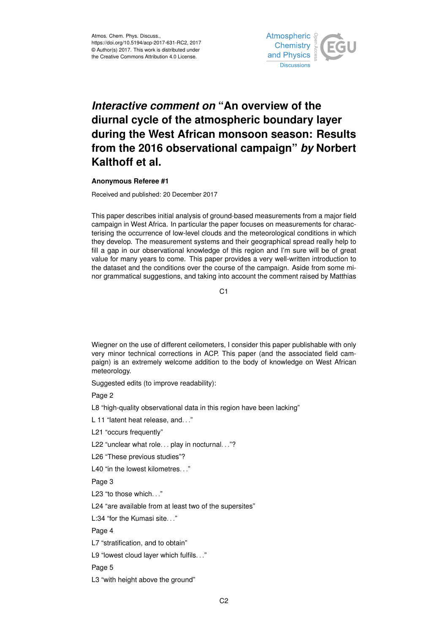

## *Interactive comment on* **"An overview of the diurnal cycle of the atmospheric boundary layer during the West African monsoon season: Results from the 2016 observational campaign"** *by* **Norbert Kalthoff et al.**

## **Anonymous Referee #1**

Received and published: 20 December 2017

This paper describes initial analysis of ground-based measurements from a major field campaign in West Africa. In particular the paper focuses on measurements for characterising the occurrence of low-level clouds and the meteorological conditions in which they develop. The measurement systems and their geographical spread really help to fill a gap in our observational knowledge of this region and I'm sure will be of great value for many years to come. This paper provides a very well-written introduction to the dataset and the conditions over the course of the campaign. Aside from some minor grammatical suggestions, and taking into account the comment raised by Matthias

C<sub>1</sub>

Wiegner on the use of different ceilometers, I consider this paper publishable with only very minor technical corrections in ACP. This paper (and the associated field campaign) is an extremely welcome addition to the body of knowledge on West African meteorology.

Suggested edits (to improve readability):

Page 2

L8 "high-quality observational data in this region have been lacking"

L 11 "latent heat release, and..."

L21 "occurs frequently"

L22 "unclear what role. . . play in nocturnal. . ."?

L26 "These previous studies"?

L40 "in the lowest kilometres..."

Page 3

L23 "to those which..."

L24 "are available from at least two of the supersites"

L:34 "for the Kumasi site. . ."

Page 4

L7 "stratification, and to obtain"

L9 "lowest cloud layer which fulfils. . ."

Page 5

L3 "with height above the ground"